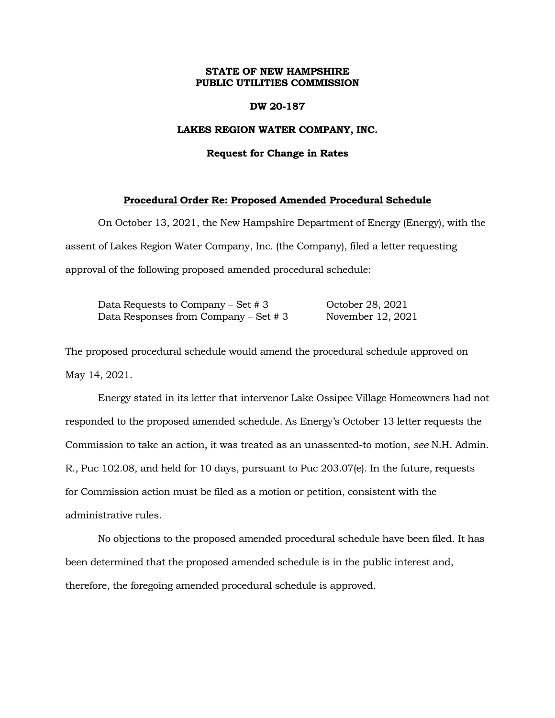## **STATE OF NEW HAMPSHIRE PUBLIC UTILITIES COMMISSION**

### **DW 20-187**

## **LAKES REGION WATER COMPANY, INC.**

#### **Request for Change in Rates**

## **Procedural Order Re: Proposed Amended Procedural Schedule**

On October 13, 2021, the New Hampshire Department of Energy (Energy), with the assent of Lakes Region Water Company, Inc. (the Company), filed a letter requesting approval of the following proposed amended procedural schedule:

Data Requests to Company – Set # 3 October 28, 2021 Data Responses from Company – Set # 3 November 12, 2021

The proposed procedural schedule would amend the procedural schedule approved on May 14, 2021.

Energy stated in its letter that intervenor Lake Ossipee Village Homeowners had not responded to the proposed amended schedule. As Energy's October 13 letter requests the Commission to take an action, it was treated as an unassented-to motion, *see* N.H. Admin. R., Puc 102.08, and held for 10 days, pursuant to Puc 203.07(e). In the future, requests for Commission action must be filed as a motion or petition, consistent with the administrative rules.

No objections to the proposed amended procedural schedule have been filed. It has been determined that the proposed amended schedule is in the public interest and, therefore, the foregoing amended procedural schedule is approved.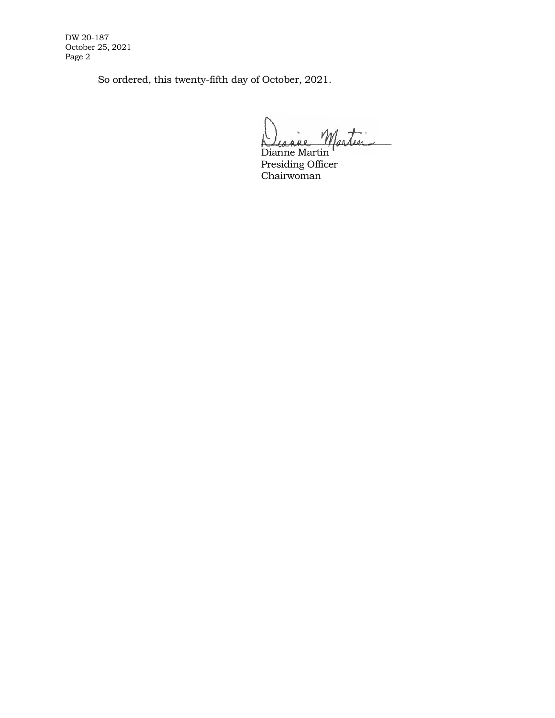DW 20-187 October 25, 2021 Page 2

So ordered, this twenty-fifth day of October, 2021.

Diagne Martin

Dianne Martin Presiding Officer Chairwoman